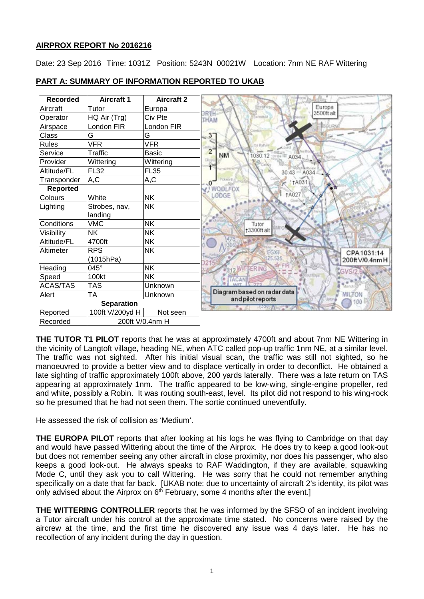## **AIRPROX REPORT No 2016216**

Date: 23 Sep 2016 Time: 1031Z Position: 5243N 00021W Location: 7nm NE RAF Wittering

| <b>Recorded</b> | <b>Aircraft 1</b> | <b>Aircraft 2</b> |
|-----------------|-------------------|-------------------|
| Aircraft        | Tutor             | Europa            |
| Operator        | HQ Air (Trg)      | Civ Pte           |
| Airspace        | London FIR        | _ondon FIR        |
| Class           | G                 | G                 |
| <b>Rules</b>    | <b>VFR</b>        | VFR               |
| Service         | Traffic           | Basic             |
| Provider        | Wittering         | Wittering         |
| Altitude/FL     | <b>FL32</b>       | <b>FL35</b>       |
| Transponder     | A, C              | A,C               |
| <b>Reported</b> |                   |                   |
| Colours         | White             | <b>NK</b>         |
| Lighting        | Strobes, nav,     | NΚ                |
|                 | landing           |                   |
| Conditions      | <b>VMC</b>        | <b>NK</b>         |
| Visibility      | <b>NK</b>         | <b>NK</b>         |
| Altitude/FL     | 4700ft            | <b>NK</b>         |
| Altimeter       | <b>RPS</b>        | NΚ                |
|                 | (1015hPa)         |                   |
| Heading         | 045°              | <b>NK</b>         |
| Speed           | 100kt             | NΚ                |
| <b>ACAS/TAS</b> | <b>TAS</b>        | Unknown           |
| Alert           | TA                | Unknown           |
|                 | <b>Separation</b> |                   |
| Reported        | 100ft V/200yd H   | Not seen          |
| Recorded        |                   | 200ft V/0.4nm H   |

# **PART A: SUMMARY OF INFORMATION REPORTED TO UKAB**

**THE TUTOR T1 PILOT** reports that he was at approximately 4700ft and about 7nm NE Wittering in the vicinity of Langtoft village, heading NE, when ATC called pop-up traffic 1nm NE, at a similar level. The traffic was not sighted. After his initial visual scan, the traffic was still not sighted, so he manoeuvred to provide a better view and to displace vertically in order to deconflict. He obtained a late sighting of traffic approximately 100ft above, 200 yards laterally. There was a late return on TAS appearing at approximately 1nm. The traffic appeared to be low-wing, single-engine propeller, red and white, possibly a Robin. It was routing south-east, level. Its pilot did not respond to his wing-rock so he presumed that he had not seen them. The sortie continued uneventfully.

He assessed the risk of collision as 'Medium'.

**THE EUROPA PILOT** reports that after looking at his logs he was flying to Cambridge on that day and would have passed Wittering about the time of the Airprox. He does try to keep a good look-out but does not remember seeing any other aircraft in close proximity, nor does his passenger, who also keeps a good look-out. He always speaks to RAF Waddington, if they are available, squawking Mode C, until they ask you to call Wittering. He was sorry that he could not remember anything specifically on a date that far back. [UKAB note: due to uncertainty of aircraft 2's identity, its pilot was only advised about the Airprox on  $6<sup>th</sup>$  February, some 4 months after the event.]

**THE WITTERING CONTROLLER** reports that he was informed by the SFSO of an incident involving a Tutor aircraft under his control at the approximate time stated. No concerns were raised by the aircrew at the time, and the first time he discovered any issue was 4 days later. He has no recollection of any incident during the day in question.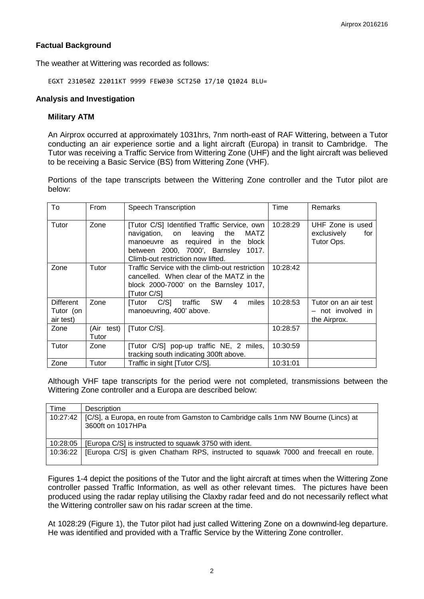## **Factual Background**

The weather at Wittering was recorded as follows:

EGXT 231050Z 22011KT 9999 FEW030 SCT250 17/10 Q1024 BLU=

## **Analysis and Investigation**

#### **Military ATM**

An Airprox occurred at approximately 1031hrs, 7nm north-east of RAF Wittering, between a Tutor conducting an air experience sortie and a light aircraft (Europa) in transit to Cambridge. The Tutor was receiving a Traffic Service from Wittering Zone (UHF) and the light aircraft was believed to be receiving a Basic Service (BS) from Wittering Zone (VHF).

Portions of the tape transcripts between the Wittering Zone controller and the Tutor pilot are below:

| To                                  | From                | Speech Transcription                                                                                                                                                                                | Time     | Remarks                                                   |
|-------------------------------------|---------------------|-----------------------------------------------------------------------------------------------------------------------------------------------------------------------------------------------------|----------|-----------------------------------------------------------|
| Tutor                               | Zone                | [Tutor C/S] Identified Traffic Service, own<br>navigation, on leaving the<br>MATZ<br>manoeuvre as required in the block<br>between 2000, 7000', Barnsley 1017.<br>Climb-out restriction now lifted. | 10:28:29 | UHF Zone is used<br>exclusively<br>for<br>Tutor Ops.      |
| Zone                                | Tutor               | Traffic Service with the climb-out restriction<br>cancelled. When clear of the MATZ in the<br>block 2000-7000' on the Barnsley 1017,<br>[Tutor C/S]                                                 | 10:28:42 |                                                           |
| Different<br>Tutor (on<br>air test) | Zone                | C/S] traffic SW<br>4<br>miles<br>[Tutor<br>manoeuvring, 400' above.                                                                                                                                 | 10:28:53 | Tutor on an air test<br>- not involved in<br>the Airprox. |
| Zone                                | (Air test)<br>Tutor | [Tutor C/S].                                                                                                                                                                                        | 10:28:57 |                                                           |
| Tutor                               | Zone                | [Tutor C/S] pop-up traffic NE, 2 miles,<br>tracking south indicating 300ft above.                                                                                                                   | 10:30:59 |                                                           |
| Zone                                | Tutor               | Traffic in sight [Tutor C/S].                                                                                                                                                                       | 10:31:01 |                                                           |

Although VHF tape transcripts for the period were not completed, transmissions between the Wittering Zone controller and a Europa are described below:

| Time     | <b>Description</b>                                                                                      |
|----------|---------------------------------------------------------------------------------------------------------|
| 10:27:42 | [C/S], a Europa, en route from Gamston to Cambridge calls 1nm NW Bourne (Lincs) at<br>3600ft on 1017HPa |
| 10:28:05 | [Europa C/S] is instructed to squawk 3750 with ident.                                                   |
| 10:36:22 | [Europa C/S] is given Chatham RPS, instructed to squawk 7000 and freecall en route.                     |

Figures 1-4 depict the positions of the Tutor and the light aircraft at times when the Wittering Zone controller passed Traffic Information, as well as other relevant times. The pictures have been produced using the radar replay utilising the Claxby radar feed and do not necessarily reflect what the Wittering controller saw on his radar screen at the time.

At 1028:29 (Figure 1), the Tutor pilot had just called Wittering Zone on a downwind-leg departure. He was identified and provided with a Traffic Service by the Wittering Zone controller.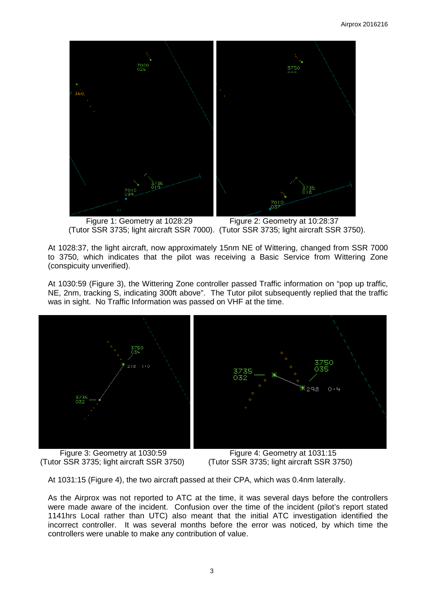

 Figure 1: Geometry at 1028:29 Figure 2: Geometry at 10:28:37 (Tutor SSR 3735; light aircraft SSR 7000). (Tutor SSR 3735; light aircraft SSR 3750).

At 1028:37, the light aircraft, now approximately 15nm NE of Wittering, changed from SSR 7000 to 3750, which indicates that the pilot was receiving a Basic Service from Wittering Zone (conspicuity unverified).

At 1030:59 (Figure 3), the Wittering Zone controller passed Traffic information on "pop up traffic, NE, 2nm, tracking S, indicating 300ft above". The Tutor pilot subsequently replied that the traffic was in sight. No Traffic Information was passed on VHF at the time.



(Tutor SSR 3735; light aircraft SSR 3750)

Figure 3: Geometry at 1030:59<br>
Figure 4: Geometry at 1031:15<br>
(Tutor SSR 3735; light aircraft SSR 3750)<br>
(Tutor SSR 3735; light aircraft SSR 3750)

At 1031:15 (Figure 4), the two aircraft passed at their CPA, which was 0.4nm laterally.

As the Airprox was not reported to ATC at the time, it was several days before the controllers were made aware of the incident. Confusion over the time of the incident (pilot's report stated 1141hrs Local rather than UTC) also meant that the initial ATC investigation identified the incorrect controller. It was several months before the error was noticed, by which time the controllers were unable to make any contribution of value.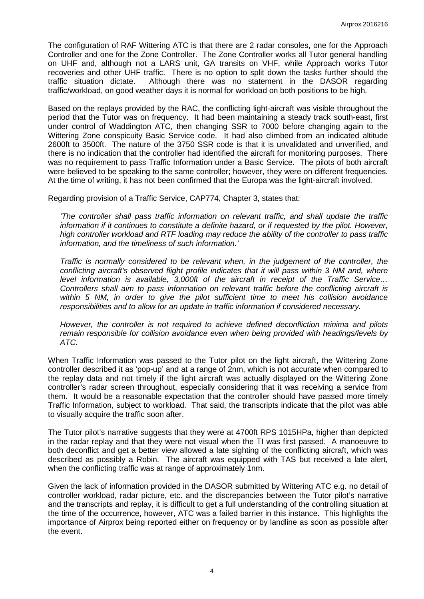The configuration of RAF Wittering ATC is that there are 2 radar consoles, one for the Approach Controller and one for the Zone Controller. The Zone Controller works all Tutor general handling on UHF and, although not a LARS unit, GA transits on VHF, while Approach works Tutor recoveries and other UHF traffic. There is no option to split down the tasks further should the traffic situation dictate. Although there was no statement in the DASOR regarding traffic/workload, on good weather days it is normal for workload on both positions to be high.

Based on the replays provided by the RAC, the conflicting light-aircraft was visible throughout the period that the Tutor was on frequency. It had been maintaining a steady track south-east, first under control of Waddington ATC, then changing SSR to 7000 before changing again to the Wittering Zone conspicuity Basic Service code. It had also climbed from an indicated altitude 2600ft to 3500ft. The nature of the 3750 SSR code is that it is unvalidated and unverified, and there is no indication that the controller had identified the aircraft for monitoring purposes. There was no requirement to pass Traffic Information under a Basic Service. The pilots of both aircraft were believed to be speaking to the same controller; however, they were on different frequencies. At the time of writing, it has not been confirmed that the Europa was the light-aircraft involved.

Regarding provision of a Traffic Service, CAP774, Chapter 3, states that:

*'The controller shall pass traffic information on relevant traffic, and shall update the traffic information if it continues to constitute a definite hazard, or if requested by the pilot. However, high controller workload and RTF loading may reduce the ability of the controller to pass traffic information, and the timeliness of such information.'*

*Traffic is normally considered to be relevant when, in the judgement of the controller, the conflicting aircraft's observed flight profile indicates that it will pass within 3 NM and, where level information is available, 3,000ft of the aircraft in receipt of the Traffic Service… Controllers shall aim to pass information on relevant traffic before the conflicting aircraft is within 5 NM, in order to give the pilot sufficient time to meet his collision avoidance responsibilities and to allow for an update in traffic information if considered necessary.*

*However, the controller is not required to achieve defined deconfliction minima and pilots remain responsible for collision avoidance even when being provided with headings/levels by ATC.*

When Traffic Information was passed to the Tutor pilot on the light aircraft, the Wittering Zone controller described it as 'pop-up' and at a range of 2nm, which is not accurate when compared to the replay data and not timely if the light aircraft was actually displayed on the Wittering Zone controller's radar screen throughout, especially considering that it was receiving a service from them. It would be a reasonable expectation that the controller should have passed more timely Traffic Information, subject to workload. That said, the transcripts indicate that the pilot was able to visually acquire the traffic soon after.

The Tutor pilot's narrative suggests that they were at 4700ft RPS 1015HPa, higher than depicted in the radar replay and that they were not visual when the TI was first passed. A manoeuvre to both deconflict and get a better view allowed a late sighting of the conflicting aircraft, which was described as possibly a Robin. The aircraft was equipped with TAS but received a late alert, when the conflicting traffic was at range of approximately 1nm.

Given the lack of information provided in the DASOR submitted by Wittering ATC e.g. no detail of controller workload, radar picture, etc. and the discrepancies between the Tutor pilot's narrative and the transcripts and replay, it is difficult to get a full understanding of the controlling situation at the time of the occurrence, however, ATC was a failed barrier in this instance. This highlights the importance of Airprox being reported either on frequency or by landline as soon as possible after the event.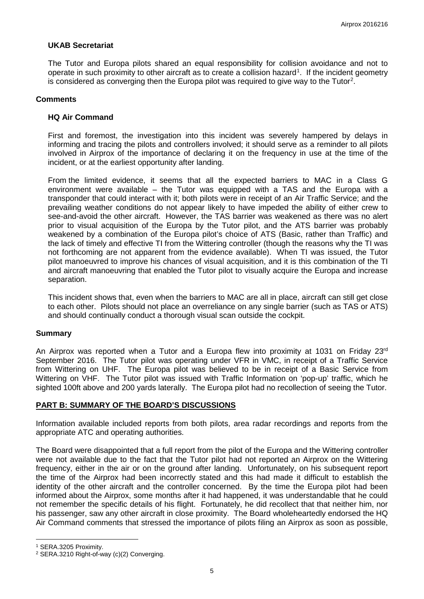## **UKAB Secretariat**

The Tutor and Europa pilots shared an equal responsibility for collision avoidance and not to operate in such proximity to other aircraft as to create a collision hazard<sup>[1](#page-4-0)</sup>. If the incident geometry is considered as converging then the Europa pilot was required to give way to the Tutor<sup>[2](#page-4-1)</sup>.

#### **Comments**

## **HQ Air Command**

First and foremost, the investigation into this incident was severely hampered by delays in informing and tracing the pilots and controllers involved; it should serve as a reminder to all pilots involved in Airprox of the importance of declaring it on the frequency in use at the time of the incident, or at the earliest opportunity after landing.

From the limited evidence, it seems that all the expected barriers to MAC in a Class G environment were available – the Tutor was equipped with a TAS and the Europa with a transponder that could interact with it; both pilots were in receipt of an Air Traffic Service; and the prevailing weather conditions do not appear likely to have impeded the ability of either crew to see-and-avoid the other aircraft. However, the TAS barrier was weakened as there was no alert prior to visual acquisition of the Europa by the Tutor pilot, and the ATS barrier was probably weakened by a combination of the Europa pilot's choice of ATS (Basic, rather than Traffic) and the lack of timely and effective TI from the Wittering controller (though the reasons why the TI was not forthcoming are not apparent from the evidence available). When TI was issued, the Tutor pilot manoeuvred to improve his chances of visual acquisition, and it is this combination of the TI and aircraft manoeuvring that enabled the Tutor pilot to visually acquire the Europa and increase separation.

This incident shows that, even when the barriers to MAC are all in place, aircraft can still get close to each other. Pilots should not place an overreliance on any single barrier (such as TAS or ATS) and should continually conduct a thorough visual scan outside the cockpit.

#### **Summary**

An Airprox was reported when a Tutor and a Europa flew into proximity at 1031 on Friday 23 $rd$ September 2016. The Tutor pilot was operating under VFR in VMC, in receipt of a Traffic Service from Wittering on UHF. The Europa pilot was believed to be in receipt of a Basic Service from Wittering on VHF. The Tutor pilot was issued with Traffic Information on 'pop-up' traffic, which he sighted 100ft above and 200 yards laterally. The Europa pilot had no recollection of seeing the Tutor.

#### **PART B: SUMMARY OF THE BOARD'S DISCUSSIONS**

Information available included reports from both pilots, area radar recordings and reports from the appropriate ATC and operating authorities.

The Board were disappointed that a full report from the pilot of the Europa and the Wittering controller were not available due to the fact that the Tutor pilot had not reported an Airprox on the Wittering frequency, either in the air or on the ground after landing. Unfortunately, on his subsequent report the time of the Airprox had been incorrectly stated and this had made it difficult to establish the identity of the other aircraft and the controller concerned. By the time the Europa pilot had been informed about the Airprox, some months after it had happened, it was understandable that he could not remember the specific details of his flight. Fortunately, he did recollect that that neither him, nor his passenger, saw any other aircraft in close proximity. The Board wholeheartedly endorsed the HQ Air Command comments that stressed the importance of pilots filing an Airprox as soon as possible,

l

<span id="page-4-0"></span><sup>1</sup> SERA.3205 Proximity.

<span id="page-4-1"></span><sup>2</sup> SERA.3210 Right-of-way (c)(2) Converging.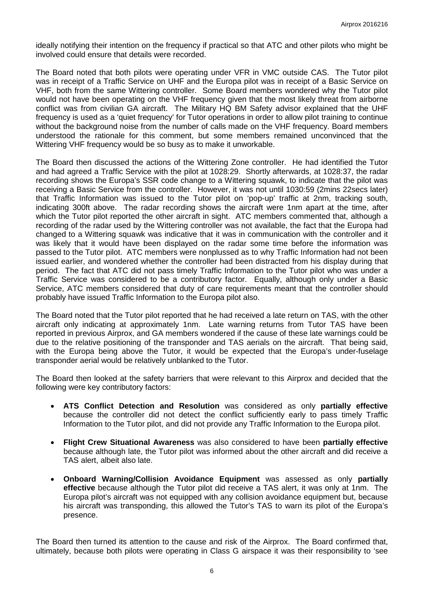ideally notifying their intention on the frequency if practical so that ATC and other pilots who might be involved could ensure that details were recorded.

The Board noted that both pilots were operating under VFR in VMC outside CAS. The Tutor pilot was in receipt of a Traffic Service on UHF and the Europa pilot was in receipt of a Basic Service on VHF, both from the same Wittering controller. Some Board members wondered why the Tutor pilot would not have been operating on the VHF frequency given that the most likely threat from airborne conflict was from civilian GA aircraft. The Military HQ BM Safety advisor explained that the UHF frequency is used as a 'quiet frequency' for Tutor operations in order to allow pilot training to continue without the background noise from the number of calls made on the VHF frequency. Board members understood the rationale for this comment, but some members remained unconvinced that the Wittering VHF frequency would be so busy as to make it unworkable.

The Board then discussed the actions of the Wittering Zone controller. He had identified the Tutor and had agreed a Traffic Service with the pilot at 1028:29. Shortly afterwards, at 1028:37, the radar recording shows the Europa's SSR code change to a Wittering squawk, to indicate that the pilot was receiving a Basic Service from the controller. However, it was not until 1030:59 (2mins 22secs later) that Traffic Information was issued to the Tutor pilot on 'pop-up' traffic at 2nm, tracking south, indicating 300ft above. The radar recording shows the aircraft were 1nm apart at the time, after which the Tutor pilot reported the other aircraft in sight. ATC members commented that, although a recording of the radar used by the Wittering controller was not available, the fact that the Europa had changed to a Wittering squawk was indicative that it was in communication with the controller and it was likely that it would have been displayed on the radar some time before the information was passed to the Tutor pilot. ATC members were nonplussed as to why Traffic Information had not been issued earlier, and wondered whether the controller had been distracted from his display during that period. The fact that ATC did not pass timely Traffic Information to the Tutor pilot who was under a Traffic Service was considered to be a contributory factor. Equally, although only under a Basic Service, ATC members considered that duty of care requirements meant that the controller should probably have issued Traffic Information to the Europa pilot also.

The Board noted that the Tutor pilot reported that he had received a late return on TAS, with the other aircraft only indicating at approximately 1nm. Late warning returns from Tutor TAS have been reported in previous Airprox, and GA members wondered if the cause of these late warnings could be due to the relative positioning of the transponder and TAS aerials on the aircraft. That being said, with the Europa being above the Tutor, it would be expected that the Europa's under-fuselage transponder aerial would be relatively unblanked to the Tutor.

The Board then looked at the safety barriers that were relevant to this Airprox and decided that the following were key contributory factors:

- **ATS Conflict Detection and Resolution** was considered as only **partially effective** because the controller did not detect the conflict sufficiently early to pass timely Traffic Information to the Tutor pilot, and did not provide any Traffic Information to the Europa pilot.
- **Flight Crew Situational Awareness** was also considered to have been **partially effective**  because although late, the Tutor pilot was informed about the other aircraft and did receive a TAS alert, albeit also late.
- **Onboard Warning/Collision Avoidance Equipment** was assessed as only **partially effective** because although the Tutor pilot did receive a TAS alert, it was only at 1nm. The Europa pilot's aircraft was not equipped with any collision avoidance equipment but, because his aircraft was transponding, this allowed the Tutor's TAS to warn its pilot of the Europa's presence.

The Board then turned its attention to the cause and risk of the Airprox. The Board confirmed that, ultimately, because both pilots were operating in Class G airspace it was their responsibility to 'see